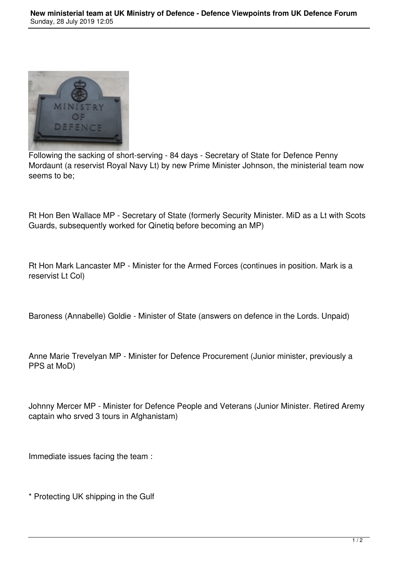

Following the sacking of short-serving - 84 days - Secretary of State for Defence Penny Mordaunt (a reservist Royal Navy Lt) by new Prime Minister Johnson, the ministerial team now seems to be;

Rt Hon Ben Wallace MP - Secretary of State (formerly Security Minister. MiD as a Lt with Scots Guards, subsequently worked for Qinetiq before becoming an MP)

Rt Hon Mark Lancaster MP - Minister for the Armed Forces (continues in position. Mark is a reservist Lt Col)

Baroness (Annabelle) Goldie - Minister of State (answers on defence in the Lords. Unpaid)

Anne Marie Trevelyan MP - Minister for Defence Procurement (Junior minister, previously a PPS at MoD)

Johnny Mercer MP - Minister for Defence People and Veterans (Junior Minister. Retired Aremy captain who srved 3 tours in Afghanistam)

Immediate issues facing the team :

\* Protecting UK shipping in the Gulf